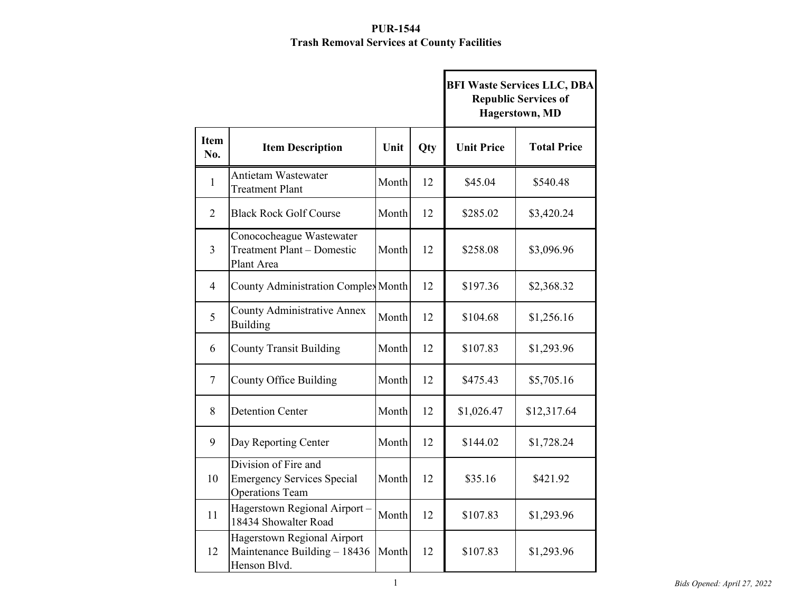|                    |                                                                                     |       |            | <b>BFI Waste Services LLC, DBA</b><br><b>Republic Services of</b><br><b>Hagerstown</b> , MD |                    |  |
|--------------------|-------------------------------------------------------------------------------------|-------|------------|---------------------------------------------------------------------------------------------|--------------------|--|
| <b>Item</b><br>No. | <b>Item Description</b>                                                             | Unit  | <b>Qty</b> | <b>Unit Price</b>                                                                           | <b>Total Price</b> |  |
| $\mathbf{1}$       | Antietam Wastewater<br><b>Treatment Plant</b>                                       | Month | 12         | \$45.04                                                                                     | \$540.48           |  |
| $\overline{2}$     | <b>Black Rock Golf Course</b>                                                       | Month | 12         | \$285.02                                                                                    | \$3,420.24         |  |
| $\overline{3}$     | Conococheague Wastewater<br><b>Treatment Plant - Domestic</b><br>Plant Area         | Month | 12         | \$258.08                                                                                    | \$3,096.96         |  |
| $\overline{4}$     | <b>County Administration Complex Month</b>                                          |       | 12         | \$197.36                                                                                    | \$2,368.32         |  |
| 5                  | <b>County Administrative Annex</b><br>Building                                      | Month | 12         | \$104.68                                                                                    | \$1,256.16         |  |
| 6                  | <b>County Transit Building</b>                                                      | Month | 12         | \$107.83                                                                                    | \$1,293.96         |  |
| $\tau$             | <b>County Office Building</b>                                                       | Month | 12         | \$475.43                                                                                    | \$5,705.16         |  |
| 8                  | <b>Detention Center</b>                                                             | Month | 12         | \$1,026.47                                                                                  | \$12,317.64        |  |
| 9                  | Day Reporting Center                                                                | Month | 12         | \$144.02                                                                                    | \$1,728.24         |  |
| 10                 | Division of Fire and<br><b>Emergency Services Special</b><br><b>Operations Team</b> | Month | 12         | \$35.16                                                                                     | \$421.92           |  |
| 11                 | Hagerstown Regional Airport -<br>18434 Showalter Road                               | Month | 12         | \$107.83                                                                                    | \$1,293.96         |  |
| 12                 | Hagerstown Regional Airport<br>Maintenance Building - 18436<br>Henson Blvd.         | Month | 12         | \$107.83                                                                                    | \$1,293.96         |  |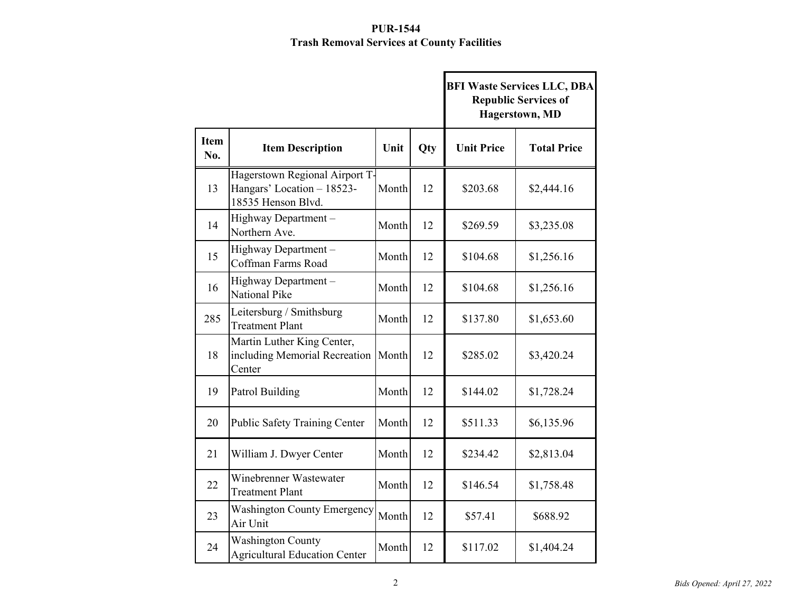|                    |                                                                                    |       |     | <b>BFI Waste Services LLC, DBA</b><br><b>Republic Services of</b><br>Hagerstown, MD |                    |  |
|--------------------|------------------------------------------------------------------------------------|-------|-----|-------------------------------------------------------------------------------------|--------------------|--|
| <b>Item</b><br>No. | <b>Item Description</b>                                                            | Unit  | Qty | <b>Unit Price</b>                                                                   | <b>Total Price</b> |  |
| 13                 | Hagerstown Regional Airport T-<br>Hangars' Location - 18523-<br>18535 Henson Blvd. | Month | 12  | \$203.68                                                                            | \$2,444.16         |  |
| 14                 | Highway Department -<br>Northern Ave.                                              | Month | 12  | \$269.59                                                                            | \$3,235.08         |  |
| 15                 | Highway Department-<br>Coffman Farms Road                                          | Month | 12  | \$104.68                                                                            | \$1,256.16         |  |
| 16                 | Highway Department -<br>National Pike                                              | Month | 12  | \$104.68                                                                            | \$1,256.16         |  |
| 285                | Leitersburg / Smithsburg<br><b>Treatment Plant</b>                                 | Month | 12  | \$137.80                                                                            | \$1,653.60         |  |
| 18                 | Martin Luther King Center,<br>including Memorial Recreation<br>Center              | Month | 12  | \$285.02                                                                            | \$3,420.24         |  |
| 19                 | Patrol Building                                                                    | Month | 12  | \$144.02                                                                            | \$1,728.24         |  |
| 20                 | <b>Public Safety Training Center</b>                                               | Month | 12  | \$511.33                                                                            | \$6,135.96         |  |
| 21                 | William J. Dwyer Center                                                            | Month | 12  | \$234.42                                                                            | \$2,813.04         |  |
| 22                 | Winebrenner Wastewater<br>Treatment Plant                                          | Month | 12  | \$146.54                                                                            | \$1,758.48         |  |
| 23                 | <b>Washington County Emergency</b><br>Air Unit                                     | Month | 12  | \$57.41                                                                             | \$688.92           |  |
| 24                 | <b>Washington County</b><br><b>Agricultural Education Center</b>                   | Month | 12  | \$117.02                                                                            | \$1,404.24         |  |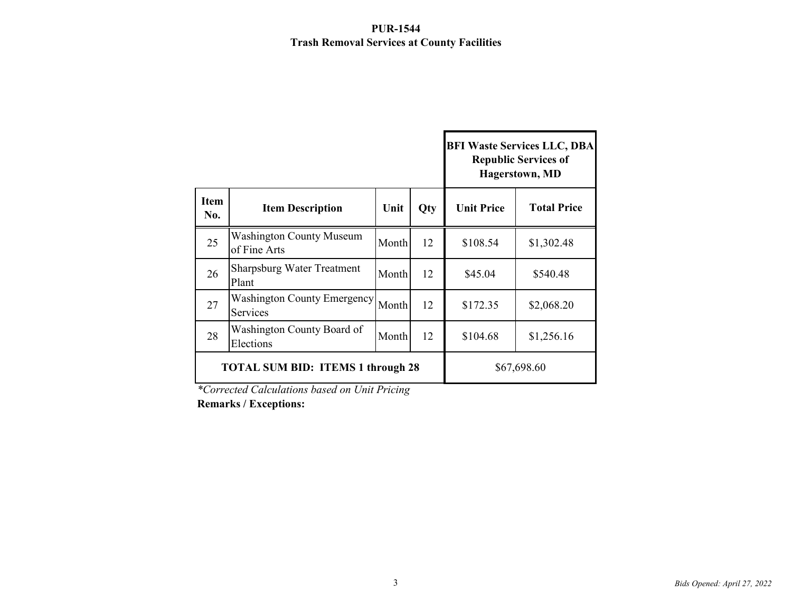|                    |                                                 |       |            | <b>BFI Waste Services LLC, DBA</b><br><b>Republic Services of</b><br><b>Hagerstown</b> , MD |                    |  |
|--------------------|-------------------------------------------------|-------|------------|---------------------------------------------------------------------------------------------|--------------------|--|
| <b>Item</b><br>No. | <b>Item Description</b>                         | Unit  | <b>Qty</b> | <b>Unit Price</b>                                                                           | <b>Total Price</b> |  |
| 25                 | <b>Washington County Museum</b><br>of Fine Arts | Month | 12         | \$108.54                                                                                    | \$1,302.48         |  |
| 26                 | <b>Sharpsburg Water Treatment</b><br>Plant      | Month | 12         | \$45.04                                                                                     | \$540.48           |  |
| 27                 | <b>Washington County Emergency</b><br>Services  | Month | 12         | \$172.35                                                                                    | \$2,068.20         |  |
| 28                 | Washington County Board of<br>Elections         | Month | 12         | \$104.68                                                                                    | \$1,256.16         |  |
|                    | <b>TOTAL SUM BID: ITEMS 1 through 28</b>        |       |            | \$67,698.60                                                                                 |                    |  |

*\*Corrected Calculations based on Unit Pricing*

**Remarks / Exceptions:**